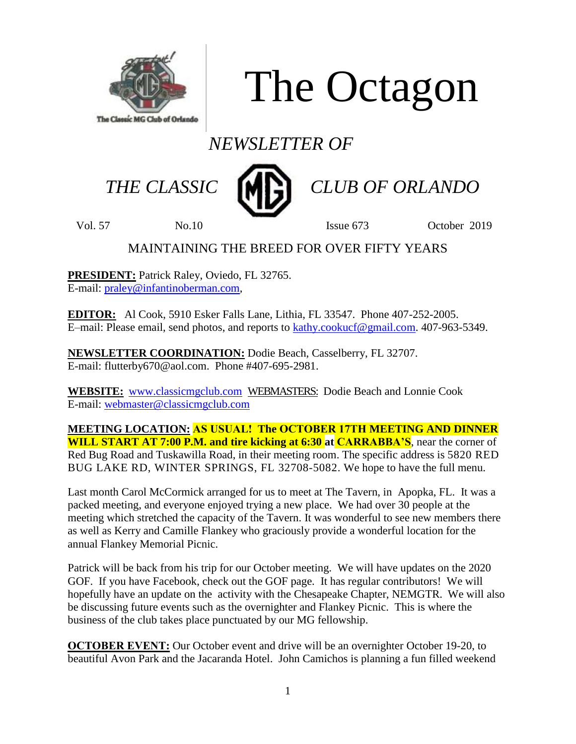

The Octagon

# *NEWSLETTER OF*



 *THE CLASSIC CLUB OF ORLANDO*

Vol. 57 No.10 **Issue 673** October 2019

# MAINTAINING THE BREED FOR OVER FIFTY YEARS

**PRESIDENT:** Patrick Raley, Oviedo, FL 32765. E-mail: [praley@infantinoberman.com,](mailto:praley@infantinoberman.com)

**EDITOR:** Al Cook, 5910 Esker Falls Lane, Lithia, FL 33547. Phone 407-252-2005. E–mail: Please email, send photos, and reports to [kathy.cookucf@gmail.com.](mailto:kathy.cookucf@gmail.com) 407-963-5349.

**NEWSLETTER COORDINATION:** Dodie Beach, Casselberry, FL 32707. E-mail: flutterby670@aol.com. Phone #407-695-2981.

**WEBSITE:** [www.classicmgclub.com](http://www.classicmgclub.com/) WEBMASTERS: Dodie Beach and Lonnie Cook E-mail: [webmaster@classicmgclub.com](mailto:webmaster@classicmgclub.com)

**MEETING LOCATION: AS USUAL! The OCTOBER 17TH MEETING AND DINNER WILL START AT 7:00 P.M. and tire kicking at 6:30 at CARRABBA'S**, near the corner of Red Bug Road and Tuskawilla Road, in their meeting room. The specific address is 5820 RED BUG LAKE RD, WINTER SPRINGS, FL 32708-5082. We hope to have the full menu.

Last month Carol McCormick arranged for us to meet at The Tavern, in Apopka, FL. It was a packed meeting, and everyone enjoyed trying a new place. We had over 30 people at the meeting which stretched the capacity of the Tavern. It was wonderful to see new members there as well as Kerry and Camille Flankey who graciously provide a wonderful location for the annual Flankey Memorial Picnic.

Patrick will be back from his trip for our October meeting. We will have updates on the 2020 GOF. If you have Facebook, check out the GOF page. It has regular contributors! We will hopefully have an update on the activity with the Chesapeake Chapter, NEMGTR. We will also be discussing future events such as the overnighter and Flankey Picnic. This is where the business of the club takes place punctuated by our MG fellowship.

**OCTOBER EVENT:** Our October event and drive will be an overnighter October 19-20, to beautiful Avon Park and the Jacaranda Hotel. John Camichos is planning a fun filled weekend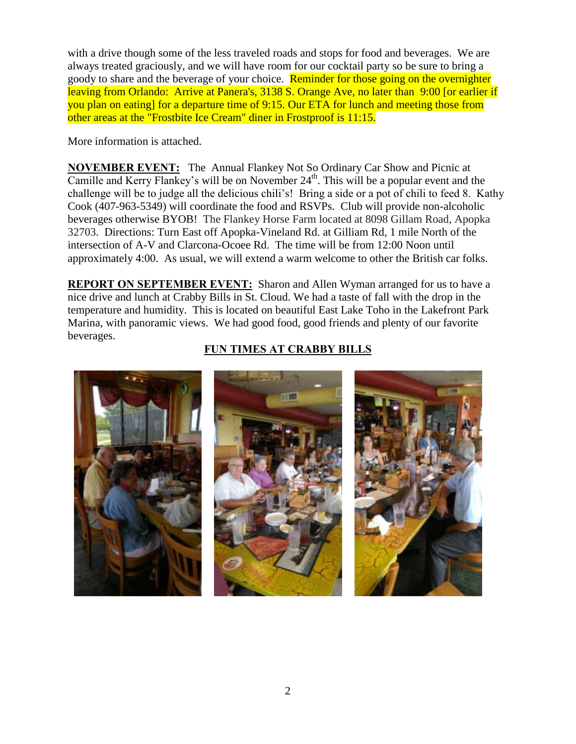with a drive though some of the less traveled roads and stops for food and beverages. We are always treated graciously, and we will have room for our cocktail party so be sure to bring a goody to share and the beverage of your choice. Reminder for those going on the overnighter leaving from Orlando: Arrive at Panera's, 3138 S. Orange Ave, no later than 9:00 [or earlier if you plan on eating] for a departure time of 9:15. Our ETA for lunch and meeting those from other areas at the "Frostbite Ice Cream" diner in Frostproof is 11:15.

More information is attached.

**NOVEMBER EVENT:** The Annual Flankey Not So Ordinary Car Show and Picnic at Camille and Kerry Flankey's will be on November  $24<sup>th</sup>$ . This will be a popular event and the challenge will be to judge all the delicious chili's! Bring a side or a pot of chili to feed 8. Kathy Cook (407-963-5349) will coordinate the food and RSVPs. Club will provide non-alcoholic beverages otherwise BYOB! The Flankey Horse Farm located at 8098 Gillam Road, Apopka 32703. Directions: Turn East off Apopka-Vineland Rd. at Gilliam Rd, 1 mile North of the intersection of A-V and Clarcona-Ocoee Rd. The time will be from 12:00 Noon until approximately 4:00. As usual, we will extend a warm welcome to other the British car folks.

**REPORT ON SEPTEMBER EVENT:** Sharon and Allen Wyman arranged for us to have a nice drive and lunch at Crabby Bills in St. Cloud. We had a taste of fall with the drop in the temperature and humidity. This is located on beautiful East Lake Toho in the Lakefront Park Marina, with panoramic views. We had good food, good friends and plenty of our favorite beverages.

# **FUN TIMES AT CRABBY BILLS**

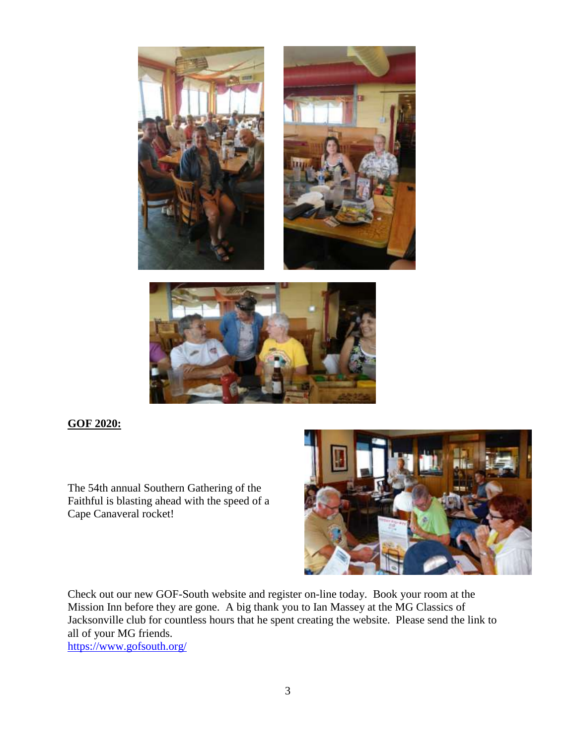



#### **GOF 2020:**

The 54th annual Southern Gathering of the Faithful is blasting ahead with the speed of a Cape Canaveral rocket!



Check out our new GOF-South website and register on-line today. Book your room at the Mission Inn before they are gone. A big thank you to Ian Massey at the MG Classics of Jacksonville club for countless hours that he spent creating the website. Please send the link to all of your MG friends.

<https://www.gofsouth.org/>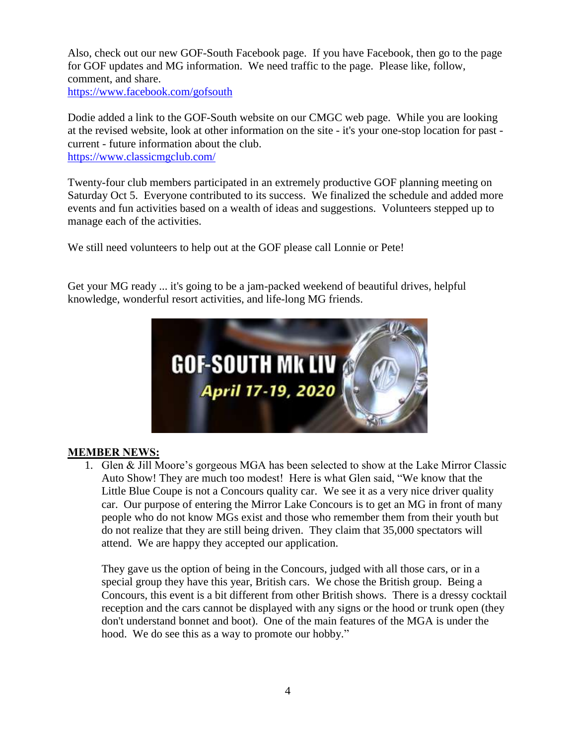Also, check out our new GOF-South Facebook page. If you have Facebook, then go to the page for GOF updates and MG information. We need traffic to the page. Please like, follow, comment, and share.

<https://www.facebook.com/gofsouth>

Dodie added a link to the GOF-South website on our CMGC web page. While you are looking at the revised website, look at other information on the site - it's your one-stop location for past current - future information about the club. <https://www.classicmgclub.com/>

Twenty-four club members participated in an extremely productive GOF planning meeting on Saturday Oct 5. Everyone contributed to its success. We finalized the schedule and added more events and fun activities based on a wealth of ideas and suggestions. Volunteers stepped up to manage each of the activities.

We still need volunteers to help out at the GOF please call Lonnie or Pete!

Get your MG ready ... it's going to be a jam-packed weekend of beautiful drives, helpful knowledge, wonderful resort activities, and life-long MG friends.



#### **MEMBER NEWS:**

1. Glen & Jill Moore's gorgeous MGA has been selected to show at the Lake Mirror Classic Auto Show! They are much too modest! Here is what Glen said, "We know that the Little Blue Coupe is not a Concours quality car. We see it as a very nice driver quality car. Our purpose of entering the Mirror Lake Concours is to get an MG in front of many people who do not know MGs exist and those who remember them from their youth but do not realize that they are still being driven. They claim that 35,000 spectators will attend. We are happy they accepted our application.

They gave us the option of being in the Concours, judged with all those cars, or in a special group they have this year, British cars. We chose the British group. Being a Concours, this event is a bit different from other British shows. There is a dressy cocktail reception and the cars cannot be displayed with any signs or the hood or trunk open (they don't understand bonnet and boot). One of the main features of the MGA is under the hood. We do see this as a way to promote our hobby."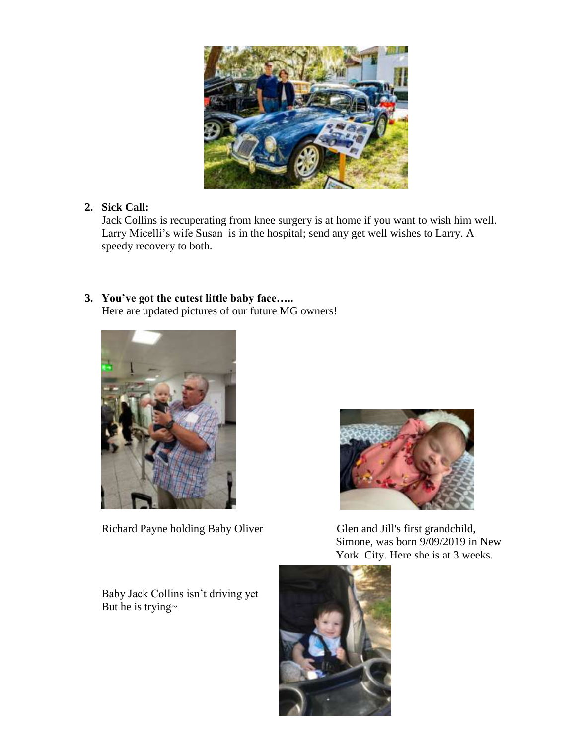

# **2. Sick Call:**

Jack Collins is recuperating from knee surgery is at home if you want to wish him well. Larry Micelli's wife Susan is in the hospital; send any get well wishes to Larry. A speedy recovery to both.

### **3. You've got the cutest little baby face…..** Here are updated pictures of our future MG owners!



Richard Payne holding Baby Oliver Glen and Jill's first grandchild,



 Simone, was born 9/09/2019 in New York City. Here she is at 3 weeks.

Baby Jack Collins isn't driving yet But he is trying~

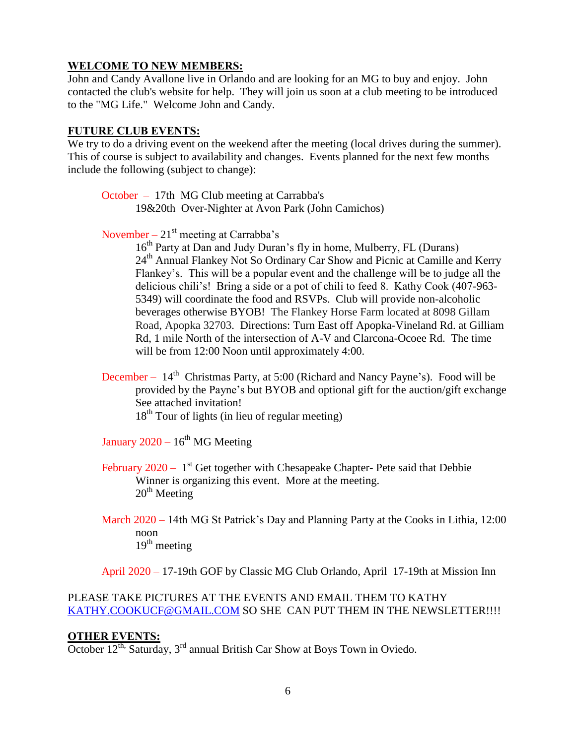### **WELCOME TO NEW MEMBERS:**

John and Candy Avallone live in Orlando and are looking for an MG to buy and enjoy. John contacted the club's website for help. They will join us soon at a club meeting to be introduced to the "MG Life." Welcome John and Candy.

#### **FUTURE CLUB EVENTS:**

We try to do a driving event on the weekend after the meeting (local drives during the summer). This of course is subject to availability and changes. Events planned for the next few months include the following (subject to change):

October – 17th MG Club meeting at Carrabba's 19&20th Over-Nighter at Avon Park (John Camichos)

November –  $21<sup>st</sup>$  meeting at Carrabba's

16<sup>th</sup> Party at Dan and Judy Duran's fly in home, Mulberry, FL (Durans) 24<sup>th</sup> Annual Flankey Not So Ordinary Car Show and Picnic at Camille and Kerry Flankey's. This will be a popular event and the challenge will be to judge all the delicious chili's! Bring a side or a pot of chili to feed 8. Kathy Cook (407-963- 5349) will coordinate the food and RSVPs. Club will provide non-alcoholic beverages otherwise BYOB! The Flankey Horse Farm located at 8098 Gillam Road, Apopka 32703. Directions: Turn East off Apopka-Vineland Rd. at Gilliam Rd, 1 mile North of the intersection of A-V and Clarcona-Ocoee Rd. The time will be from 12:00 Noon until approximately 4:00.

December –  $14<sup>th</sup>$  Christmas Party, at 5:00 (Richard and Nancy Payne's). Food will be provided by the Payne's but BYOB and optional gift for the auction/gift exchange See attached invitation!  $18<sup>th</sup>$  Tour of lights (in lieu of regular meeting)

January 2020 –  $16^{\text{th}}$  MG Meeting

- February  $2020 1$ <sup>st</sup> Get together with Chesapeake Chapter- Pete said that Debbie Winner is organizing this event. More at the meeting.  $20<sup>th</sup>$  Meeting
- March 2020 14th MG St Patrick's Day and Planning Party at the Cooks in Lithia, 12:00 noon  $19<sup>th</sup>$  meeting

April 2020 – 17-19th GOF by Classic MG Club Orlando, April 17-19th at Mission Inn

# PLEASE TAKE PICTURES AT THE EVENTS AND EMAIL THEM TO KATHY [KATHY.COOKUCF@GMAIL.COM](mailto:Kathy.cookucf@gmail.com) SO SHE CAN PUT THEM IN THE NEWSLETTER!!!!

#### **OTHER EVENTS:**

October  $12^{th}$ , Saturday,  $3^{rd}$  annual British Car Show at Boys Town in Oviedo.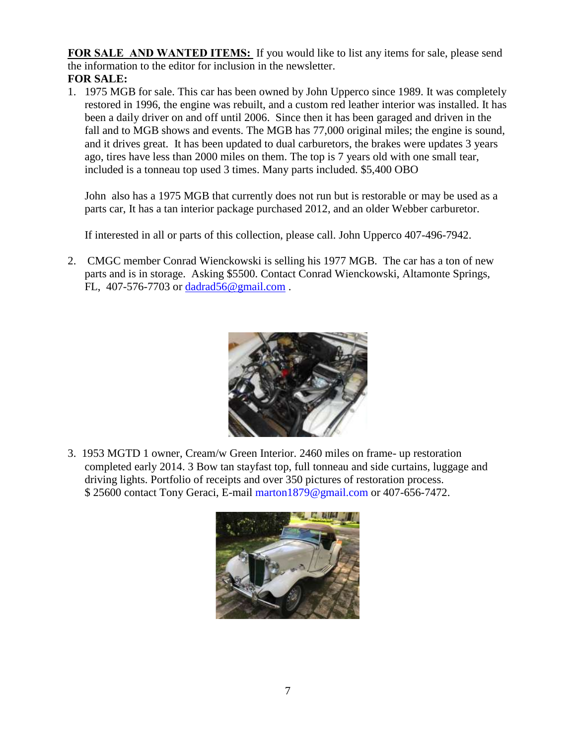**FOR SALE AND WANTED ITEMS:** If you would like to list any items for sale, please send the information to the editor for inclusion in the newsletter. **FOR SALE:**

1. 1975 MGB for sale. This car has been owned by John Upperco since 1989. It was completely restored in 1996, the engine was rebuilt, and a custom red leather interior was installed. It has been a daily driver on and off until 2006. Since then it has been garaged and driven in the fall and to MGB shows and events. The MGB has 77,000 original miles; the engine is sound, and it drives great. It has been updated to dual carburetors, the brakes were updates 3 years ago, tires have less than 2000 miles on them. The top is 7 years old with one small tear, included is a tonneau top used 3 times. Many parts included. \$5,400 OBO

John also has a 1975 MGB that currently does not run but is restorable or may be used as a parts car, It has a tan interior package purchased 2012, and an older Webber carburetor.

If interested in all or parts of this collection, please call. John Upperco 407-496-7942.

2. CMGC member Conrad Wienckowski is selling his 1977 MGB. The car has a ton of new parts and is in storage. Asking \$5500. Contact Conrad Wienckowski, Altamonte Springs, FL, 407-576-7703 or [dadrad56@gmail.com](mailto:dadrad56@gmail.com).



3. 1953 MGTD 1 owner, Cream/w Green Interior. 2460 miles on frame- up restoration completed early 2014. 3 Bow tan stayfast top, full tonneau and side curtains, luggage and driving lights. Portfolio of receipts and over 350 pictures of restoration process. \$ 25600 contact Tony Geraci, E-mail marton1879@gmail.com or 407-656-7472.